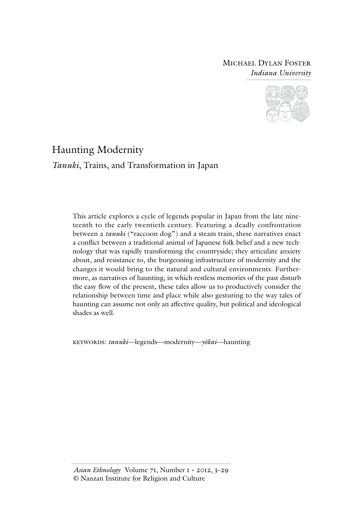# Michael Dylan Foster *Indiana University*



# Haunting Modernity

*Tanuki*, Trains, and Transformation in Japan

This article explores a cycle of legends popular in Japan from the late nineteenth to the early twentieth century. Featuring a deadly confrontation between a *tanuki* ("raccoon dog") and a steam train, these narratives enact a conflict between a traditional animal of Japanese folk belief and a new technology that was rapidly transforming the countryside; they articulate anxiety about, and resistance to, the burgeoning infrastructure of modernity and the changes it would bring to the natural and cultural environments. Furthermore, as narratives of haunting, in which restless memories of the past disturb the easy flow of the present, these tales allow us to productively consider the relationship between time and place while also gesturing to the way tales of haunting can assume not only an affective quality, but political and ideological shades as well.

keywords: *tanuki*—legends—modernity—*yōkai*—haunting

*Asian Ethnology* Volume 71, Number 1 • 2012, 3–29 © Nanzan Institute for Religion and Culture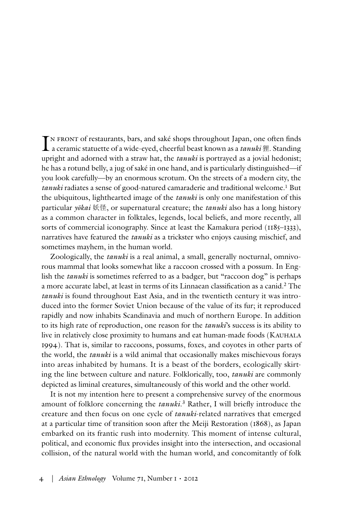IN FRONT of restaurants, bars, and saké shops throughout Japan, one often finds a ceramic statuette of a wide-eyed, cheerful beast known as a *tanuki*狸. Standing n front of restaurants, bars, and saké shops throughout Japan, one often finds upright and adorned with a straw hat, the *tanuki* is portrayed as a jovial hedonist; he has a rotund belly, a jug of saké in one hand, and is particularly distinguished—if you look carefully—by an enormous scrotum. On the streets of a modern city, the *tanuki* radiates a sense of good-natured camaraderie and traditional welcome.1 But the ubiquitous, lighthearted image of the *tanuki* is only one manifestation of this particular *yōkai* 妖怪, or supernatural creature; the *tanuki* also has a long history as a common character in folktales, legends, local beliefs, and more recently, all sorts of commercial iconography. Since at least the Kamakura period (1185–1333), narratives have featured the *tanuki* as a trickster who enjoys causing mischief, and sometimes mayhem, in the human world.

Zoologically, the *tanuki* is a real animal, a small, generally nocturnal, omnivorous mammal that looks somewhat like a raccoon crossed with a possum. In English the *tanuki* is sometimes referred to as a badger, but "raccoon dog" is perhaps a more accurate label, at least in terms of its Linnaean classification as a canid.2 The *tanuki* is found throughout East Asia, and in the twentieth century it was introduced into the former Soviet Union because of the value of its fur; it reproduced rapidly and now inhabits Scandinavia and much of northern Europe. In addition to its high rate of reproduction, one reason for the *tanuki*'s success is its ability to live in relatively close proximity to humans and eat human-made foods (Kauhala 1994). That is, similar to raccoons, possums, foxes, and coyotes in other parts of the world, the *tanuki* is a wild animal that occasionally makes mischievous forays into areas inhabited by humans. It is a beast of the borders, ecologically skirting the line between culture and nature. Folklorically, too, *tanuki* are commonly depicted as liminal creatures, simultaneously of this world and the other world.

It is not my intention here to present a comprehensive survey of the enormous amount of folklore concerning the *tanuki*. 3 Rather, I will briefly introduce the creature and then focus on one cycle of *tanuki*-related narratives that emerged at a particular time of transition soon after the Meiji Restoration (1868), as Japan embarked on its frantic rush into modernity. This moment of intense cultural, political, and economic flux provides insight into the intersection, and occasional collision, of the natural world with the human world, and concomitantly of folk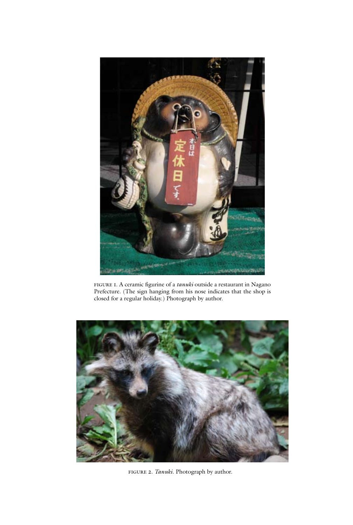

figure 1. A ceramic figurine of a *tanuki* outside a restaurant in Nagano Prefecture. (The sign hanging from his nose indicates that the shop is closed for a regular holiday.) Photograph by author.



figure 2. *Tanuki*. Photograph by author.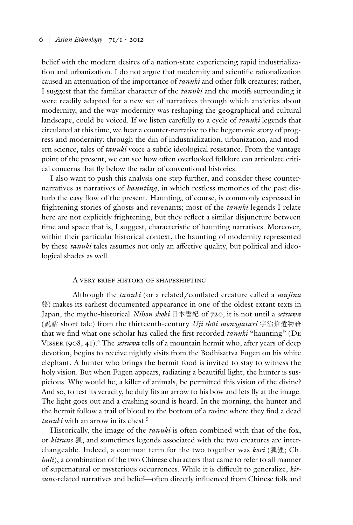belief with the modern desires of a nation-state experiencing rapid industrialization and urbanization. I do not argue that modernity and scientific rationalization caused an attenuation of the importance of *tanuki* and other folk creatures; rather, I suggest that the familiar character of the *tanuki* and the motifs surrounding it were readily adapted for a new set of narratives through which anxieties about modernity, and the way modernity was reshaping the geographical and cultural landscape, could be voiced. If we listen carefully to a cycle of *tanuki* legends that circulated at this time, we hear a counter-narrative to the hegemonic story of progress and modernity: through the din of industrialization, urbanization, and modern science, tales of *tanuki* voice a subtle ideological resistance. From the vantage point of the present, we can see how often overlooked folklore can articulate critical concerns that fly below the radar of conventional histories.

I also want to push this analysis one step further, and consider these counternarratives as narratives of *haunting*, in which restless memories of the past disturb the easy flow of the present. Haunting, of course, is commonly expressed in frightening stories of ghosts and revenants; most of the *tanuki* legends I relate here are not explicitly frightening, but they reflect a similar disjuncture between time and space that is, I suggest, characteristic of haunting narratives. Moreover, within their particular historical context, the haunting of modernity represented by these *tanuki* tales assumes not only an affective quality, but political and ideological shades as well.

## A very brief history of shapeshifting

Although the *tanuki* (or a related/conflated creature called a *mujina*  貉) makes its earliest documented appearance in one of the oldest extant texts in Japan, the mytho-historical *Nihon shoki* 日本書紀 of 720, it is not until a *setsuwa* (説話 short tale) from the thirteenth-century *Uji shūi monogatari* 宇治拾遺物語 that we find what one scholar has called the first recorded *tanuki* "haunting" (De Visser 1908, 41).4 The *setsuwa* tells of a mountain hermit who, after years of deep devotion, begins to receive nightly visits from the Bodhisattva Fugen on his white elephant. A hunter who brings the hermit food is invited to stay to witness the holy vision. But when Fugen appears, radiating a beautiful light, the hunter is suspicious. Why would he, a killer of animals, be permitted this vision of the divine? And so, to test its veracity, he duly fits an arrow to his bow and lets fly at the image. The light goes out and a crashing sound is heard. In the morning, the hunter and the hermit follow a trail of blood to the bottom of a ravine where they find a dead *tanuki* with an arrow in its chest.5

Historically, the image of the *tanuki* is often combined with that of the fox, or *kitsune* 狐, and sometimes legends associated with the two creatures are interchangeable. Indeed, a common term for the two together was *kori* (狐狸; Ch. *huli*), a combination of the two Chinese characters that came to refer to all manner of supernatural or mysterious occurrences. While it is difficult to generalize, *kitsune*-related narratives and belief—often directly influenced from Chinese folk and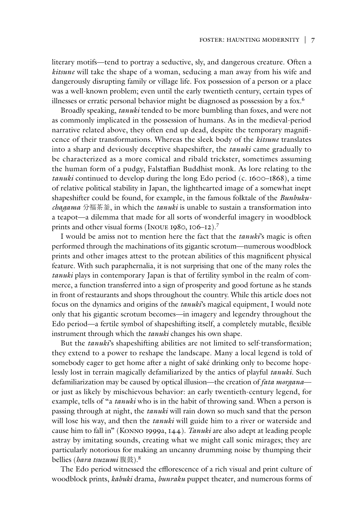literary motifs—tend to portray a seductive, sly, and dangerous creature. Often a *kitsune* will take the shape of a woman, seducing a man away from his wife and dangerously disrupting family or village life. Fox possession of a person or a place was a well-known problem; even until the early twentieth century, certain types of illnesses or erratic personal behavior might be diagnosed as possession by a fox.<sup>6</sup>

Broadly speaking, *tanuki* tended to be more bumbling than foxes, and were not as commonly implicated in the possession of humans. As in the medieval-period narrative related above, they often end up dead, despite the temporary magnificence of their transformations. Whereas the sleek body of the *kitsune* translates into a sharp and deviously deceptive shapeshifter, the *tanuki* came gradually to be characterized as a more comical and ribald trickster, sometimes assuming the human form of a pudgy, Falstaffian Buddhist monk. As lore relating to the *tanuki* continued to develop during the long Edo period (c. 1600–1868), a time of relative political stability in Japan, the lighthearted image of a somewhat inept shapeshifter could be found, for example, in the famous folktale of the *Bunbukuchagama* 分福茶釜, in which the *tanuki* is unable to sustain a transformation into a teapot—a dilemma that made for all sorts of wonderful imagery in woodblock prints and other visual forms (Inoue 1980, 106–12).7

I would be amiss not to mention here the fact that the *tanuki*'s magic is often performed through the machinations of its gigantic scrotum—numerous woodblock prints and other images attest to the protean abilities of this magnificent physical feature. With such paraphernalia, it is not surprising that one of the many roles the *tanuki* plays in contemporary Japan is that of fertility symbol in the realm of commerce, a function transferred into a sign of prosperity and good fortune as he stands in front of restaurants and shops throughout the country. While this article does not focus on the dynamics and origins of the *tanuki*'s magical equipment, I would note only that his gigantic scrotum becomes—in imagery and legendry throughout the Edo period—a fertile symbol of shapeshifting itself, a completely mutable, flexible instrument through which the *tanuki* changes his own shape.

But the *tanuki*'s shapeshifting abilities are not limited to self-transformation; they extend to a power to reshape the landscape. Many a local legend is told of somebody eager to get home after a night of saké drinking only to become hopelessly lost in terrain magically defamiliarized by the antics of playful *tanuki*. Such defamiliarization may be caused by optical illusion—the creation of *fata morgana* or just as likely by mischievous behavior: an early twentieth-century legend, for example, tells of "a *tanuki* who is in the habit of throwing sand. When a person is passing through at night, the *tanuki* will rain down so much sand that the person will lose his way, and then the *tanuki* will guide him to a river or waterside and cause him to fall in" (Konno 1999a, 144). *Tanuki* are also adept at leading people astray by imitating sounds, creating what we might call sonic mirages; they are particularly notorious for making an uncanny drumming noise by thumping their bellies (*hara tsuzumi* 腹鼓).8

The Edo period witnessed the efflorescence of a rich visual and print culture of woodblock prints, *kabuki* drama, *bunraku* puppet theater, and numerous forms of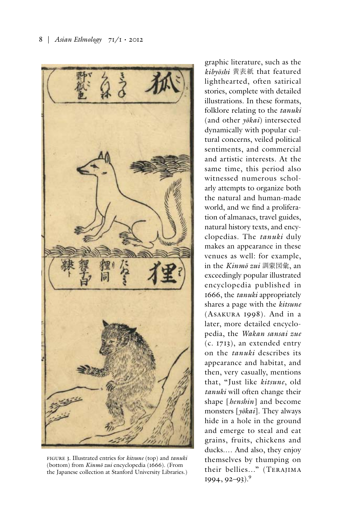

figure 3. Illustrated entries for *kitsune* (top) and *tanuki* (bottom) from *Kinmō zui* encyclopedia (1666). (From the Japanese collection at Stanford University Libraries.)

graphic literature, such as the *kibyōshi* 黄表紙 that featured lighthearted, often satirical stories, complete with detailed illustrations. In these formats, folklore relating to the *tanuki* (and other *yōkai*) intersected dynamically with popular cultural concerns, veiled political sentiments, and commercial and artistic interests. At the same time, this period also witnessed numerous scholarly attempts to organize both the natural and human-made world, and we find a proliferation of almanacs, travel guides, natural history texts, and encyclopedias. The *tanuki* duly makes an appearance in these venues as well: for example, in the *Kinmō zui* 訓蒙図彙, an exceedingly popular illustrated encyclopedia published in 1666, the *tanuki* appropriately shares a page with the *kitsune* (Asakura 1998). And in a later, more detailed encyclopedia, the *Wakan sansai zue* (c. 1713), an extended entry on the *tanuki* describes its appearance and habitat, and then, very casually, mentions that, "Just like *kitsune*, old *tanuki* will often change their shape [*henshin*] and become monsters [*yōkai*]. They always hide in a hole in the ground and emerge to steal and eat grains, fruits, chickens and ducks.… And also, they enjoy themselves by thumping on their bellies..." (Terajima  $1994, 92 - 93$ ).<sup>9</sup>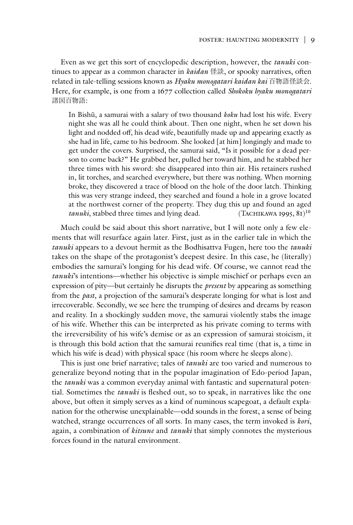Even as we get this sort of encyclopedic description, however, the *tanuki* continues to appear as a common character in *kaidan* 怪談, or spooky narratives, often related in tale-telling sessions known as *Hyaku monogatari kaidan kai* 百物語怪談会. Here, for example, is one from a 1677 collection called *Shokoku hyaku monogatari* 諸国百物語:

In Bishū, a samurai with a salary of two thousand *koku* had lost his wife. Every night she was all he could think about. Then one night, when he set down his light and nodded off, his dead wife, beautifully made up and appearing exactly as she had in life, came to his bedroom. She looked [at him] longingly and made to get under the covers. Surprised, the samurai said, "Is it possible for a dead person to come back?" He grabbed her, pulled her toward him, and he stabbed her three times with his sword: she disappeared into thin air. His retainers rushed in, lit torches, and searched everywhere, but there was nothing. When morning broke, they discovered a trace of blood on the hole of the door latch. Thinking this was very strange indeed, they searched and found a hole in a grove located at the northwest corner of the property. They dug this up and found an aged *tanuki*, stabbed three times and lying dead. (TACHIKAWA 1995, 81)<sup>10</sup>

Much could be said about this short narrative, but I will note only a few elements that will resurface again later. First, just as in the earlier tale in which the *tanuki* appears to a devout hermit as the Bodhisattva Fugen, here too the *tanuki* takes on the shape of the protagonist's deepest desire. In this case, he (literally) embodies the samurai's longing for his dead wife. Of course, we cannot read the *tanuki*'s intentions—whether his objective is simple mischief or perhaps even an expression of pity—but certainly he disrupts the *present* by appearing as something from the *past*, a projection of the samurai's desperate longing for what is lost and irrecoverable. Secondly, we see here the trumping of desires and dreams by reason and reality. In a shockingly sudden move, the samurai violently stabs the image of his wife. Whether this can be interpreted as his private coming to terms with the irreversibility of his wife's demise or as an expression of samurai stoicism, it is through this bold action that the samurai reunifies real time (that is, a time in which his wife is dead) with physical space (his room where he sleeps alone).

This is just one brief narrative; tales of *tanuki* are too varied and numerous to generalize beyond noting that in the popular imagination of Edo-period Japan, the *tanuki* was a common everyday animal with fantastic and supernatural potential. Sometimes the *tanuki* is fleshed out, so to speak, in narratives like the one above, but often it simply serves as a kind of numinous scapegoat, a default explanation for the otherwise unexplainable—odd sounds in the forest, a sense of being watched, strange occurrences of all sorts. In many cases, the term invoked is *kori*, again, a combination of *kitsune* and *tanuki* that simply connotes the mysterious forces found in the natural environment.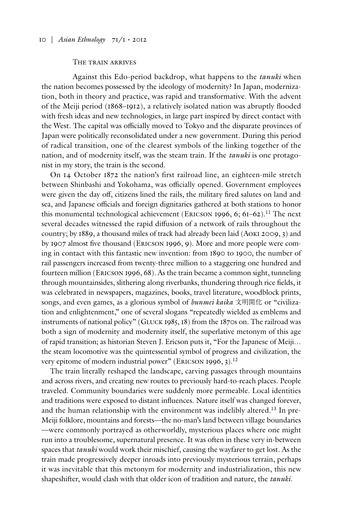# The train arrives

Against this Edo-period backdrop, what happens to the *tanuki* when the nation becomes possessed by the ideology of modernity? In Japan, modernization, both in theory and practice, was rapid and transformative. With the advent of the Meiji period (1868–1912), a relatively isolated nation was abruptly flooded with fresh ideas and new technologies, in large part inspired by direct contact with the West. The capital was officially moved to Tokyo and the disparate provinces of Japan were politically reconsolidated under a new government. During this period of radical transition, one of the clearest symbols of the linking together of the nation, and of modernity itself, was the steam train. If the *tanuki* is one protagonist in my story, the train is the second.

On 14 October 1872 the nation's first railroad line, an eighteen-mile stretch between Shinbashi and Yokohama, was officially opened. Government employees were given the day off, citizens lined the rails, the military fired salutes on land and sea, and Japanese officials and foreign dignitaries gathered at both stations to honor this monumental technological achievement (ERICSON 1996, 6; 61–62).<sup>11</sup> The next several decades witnessed the rapid diffusion of a network of rails throughout the country; by 1889, a thousand miles of track had already been laid (Aoki 2009, 3) and by 1907 almost five thousand (Ericson 1996, 9). More and more people were coming in contact with this fantastic new invention: from 1890 to 1900, the number of rail passengers increased from twenty-three million to a staggering one hundred and fourteen million (Ericson 1996, 68). As the train became a common sight, tunneling through mountainsides, slithering along riverbanks, thundering through rice fields, it was celebrated in newspapers, magazines, books, travel literature, woodblock prints, songs, and even games, as a glorious symbol of *bunmei kaika* 文明開化 or "civilization and enlightenment," one of several slogans "repeatedly wielded as emblems and instruments of national policy" (Gluck 1985, 18) from the 1870s on. The railroad was both a sign of modernity and modernity itself, the superlative metonym of this age of rapid transition; as historian Steven J. Ericson puts it, "For the Japanese of Meiji… the steam locomotive was the quintessential symbol of progress and civilization, the very epitome of modern industrial power" (ERICSON 1996, 3).<sup>12</sup>

The train literally reshaped the landscape, carving passages through mountains and across rivers, and creating new routes to previously hard-to-reach places. People traveled. Community boundaries were suddenly more permeable. Local identities and traditions were exposed to distant influences. Nature itself was changed forever, and the human relationship with the environment was indelibly altered.<sup>13</sup> In pre-Meiji folklore, mountains and forests—the no-man's land between village boundaries —were commonly portrayed as otherworldly, mysterious places where one might run into a troublesome, supernatural presence. It was often in these very in-between spaces that *tanuki* would work their mischief, causing the wayfarer to get lost. As the train made progressively deeper inroads into previously mysterious terrain, perhaps it was inevitable that this metonym for modernity and industrialization, this new shapeshifter, would clash with that older icon of tradition and nature, the *tanuki*.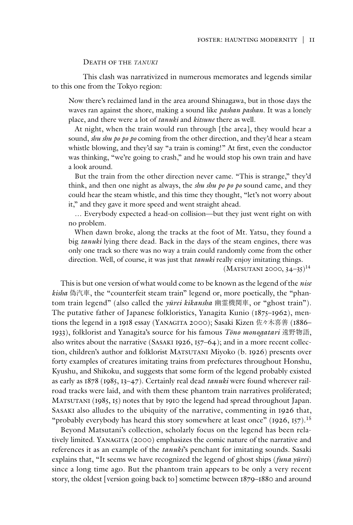#### Death of the *tanuki*

This clash was narrativized in numerous memorates and legends similar to this one from the Tokyo region:

Now there's reclaimed land in the area around Shinagawa, but in those days the waves ran against the shore, making a sound like *pashan pashan*. It was a lonely place, and there were a lot of *tanuki* and *kitsune* there as well.

At night, when the train would run through [the area], they would hear a sound, *shu shu po po po* coming from the other direction, and they'd hear a steam whistle blowing, and they'd say "a train is coming!" At first, even the conductor was thinking, "we're going to crash," and he would stop his own train and have a look around.

But the train from the other direction never came. "This is strange," they'd think, and then one night as always, the *shu shu po po po* sound came, and they could hear the steam whistle, and this time they thought, "let's not worry about it," and they gave it more speed and went straight ahead.

… Everybody expected a head-on collision—but they just went right on with no problem.

When dawn broke, along the tracks at the foot of Mt. Yatsu, they found a big *tanuki* lying there dead. Back in the days of the steam engines, there was only one track so there was no way a train could randomly come from the other direction. Well, of course, it was just that *tanuki* really enjoy imitating things.

 $(MATSUTANI 2000, 34-35)^{14}$ 

This is but one version of what would come to be known as the legend of the *nise kisha* 偽汽車, the "counterfeit steam train" legend or, more poetically, the "phantom train legend" (also called the *yūrei kikansha* 幽霊機関車, or "ghost train"). The putative father of Japanese folkloristics, Yanagita Kunio (1875–1962), mentions the legend in a 1918 essay (YANAGITA 2000); Sasaki Kizen 佐々木喜善 (1886– 1933), folklorist and Yanagita's source for his famous *Tōno monogatari* 遠野物語, also writes about the narrative  $(SASAKI 1926, 157–64)$ ; and in a more recent collection, children's author and folklorist MATSUTANI Miyoko (b. 1926) presents over forty examples of creatures imitating trains from prefectures throughout Honshu, Kyushu, and Shikoku, and suggests that some form of the legend probably existed as early as 1878 (1985, 13–47). Certainly real dead *tanuki* were found wherever railroad tracks were laid, and with them these phantom train narratives proliferated; MATSUTANI (1985, 15) notes that by 1910 the legend had spread throughout Japan. Sasaki also alludes to the ubiquity of the narrative, commenting in 1926 that, "probably everybody has heard this story somewhere at least once"  $(1926, 157)$ <sup>15</sup>

Beyond Matsutani's collection, scholarly focus on the legend has been relatively limited. YANAGITA (2000) emphasizes the comic nature of the narrative and references it as an example of the *tanuki*'s penchant for imitating sounds. Sasaki explains that, "It seems we have recognized the legend of ghost ships (*funa yūrei*) since a long time ago. But the phantom train appears to be only a very recent story, the oldest [version going back to] sometime between 1879–1880 and around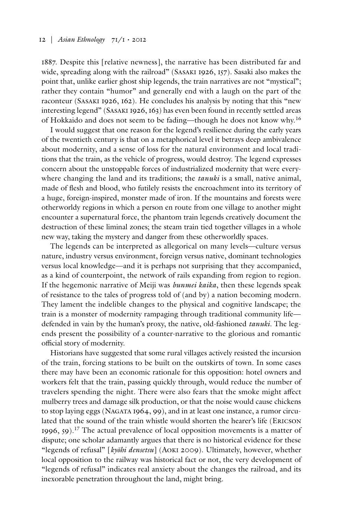1887. Despite this [relative newness], the narrative has been distributed far and wide, spreading along with the railroad" (SASAKI 1926, 157). Sasaki also makes the point that, unlike earlier ghost ship legends, the train narratives are not "mystical"; rather they contain "humor" and generally end with a laugh on the part of the raconteur (Sasaki 1926, 162). He concludes his analysis by noting that this "new interesting legend" (Sasaki 1926, 163) has even been found in recently settled areas of Hokkaido and does not seem to be fading—though he does not know why.16

I would suggest that one reason for the legend's resilience during the early years of the twentieth century is that on a metaphorical level it betrays deep ambivalence about modernity, and a sense of loss for the natural environment and local traditions that the train, as the vehicle of progress, would destroy. The legend expresses concern about the unstoppable forces of industrialized modernity that were everywhere changing the land and its traditions; the *tanuki* is a small, native animal, made of flesh and blood, who futilely resists the encroachment into its territory of a huge, foreign-inspired, monster made of iron. If the mountains and forests were otherworldy regions in which a person en route from one village to another might encounter a supernatural force, the phantom train legends creatively document the destruction of these liminal zones; the steam train tied together villages in a whole new way, taking the mystery and danger from these otherworldly spaces.

The legends can be interpreted as allegorical on many levels—culture versus nature, industry versus environment, foreign versus native, dominant technologies versus local knowledge—and it is perhaps not surprising that they accompanied, as a kind of counterpoint, the network of rails expanding from region to region. If the hegemonic narrative of Meiji was *bunmei kaika*, then these legends speak of resistance to the tales of progress told of (and by) a nation becoming modern. They lament the indelible changes to the physical and cognitive landscape; the train is a monster of modernity rampaging through traditional community life defended in vain by the human's proxy, the native, old-fashioned *tanuki*. The legends present the possibility of a counter-narrative to the glorious and romantic official story of modernity.

Historians have suggested that some rural villages actively resisted the incursion of the train, forcing stations to be built on the outskirts of town. In some cases there may have been an economic rationale for this opposition: hotel owners and workers felt that the train, passing quickly through, would reduce the number of travelers spending the night. There were also fears that the smoke might affect mulberry trees and damage silk production, or that the noise would cause chickens to stop laying eggs (Nagata 1964, 99), and in at least one instance, a rumor circulated that the sound of the train whistle would shorten the hearer's life (ERICSON 1996, 59).17 The actual prevalence of local opposition movements is a matter of dispute; one scholar adamantly argues that there is no historical evidence for these "legends of refusal" [*kyōhi densetsu*] (Aoki 2009). Ultimately, however, whether local opposition to the railway was historical fact or not, the very development of "legends of refusal" indicates real anxiety about the changes the railroad, and its inexorable penetration throughout the land, might bring.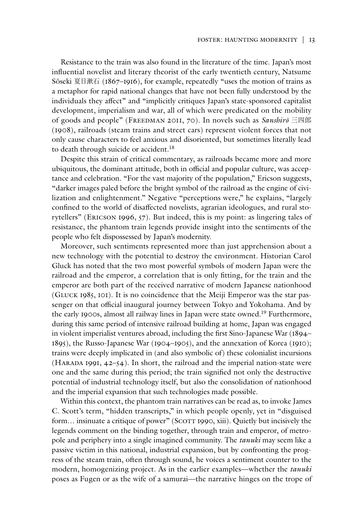Resistance to the train was also found in the literature of the time. Japan's most influential novelist and literary theorist of the early twentieth century, Natsume Sōseki 夏目漱石 (1867–1916), for example, repeatedly "uses the motion of trains as a metaphor for rapid national changes that have not been fully understood by the individuals they affect" and "implicitly critiques Japan's state-sponsored capitalist development, imperialism and war, all of which were predicated on the mobility of goods and people" (Freedman 2011, 70). In novels such as *Sanshirō* 三四郎 (1908), railroads (steam trains and street cars) represent violent forces that not only cause characters to feel anxious and disoriented, but sometimes literally lead to death through suicide or accident.18

Despite this strain of critical commentary, as railroads became more and more ubiquitous, the dominant attitude, both in official and popular culture, was acceptance and celebration. "For the vast majority of the population," Ericson suggests, "darker images paled before the bright symbol of the railroad as the engine of civilization and enlightenment." Negative "perceptions were," he explains, "largely confined to the world of disaffected novelists, agrarian ideologues, and rural storytellers" (Ericson 1996, 57). But indeed, this is my point: as lingering tales of resistance, the phantom train legends provide insight into the sentiments of the people who felt dispossessed by Japan's modernity.

Moreover, such sentiments represented more than just apprehension about a new technology with the potential to destroy the environment. Historian Carol Gluck has noted that the two most powerful symbols of modern Japan were the railroad and the emperor, a correlation that is only fitting, for the train and the emperor are both part of the received narrative of modern Japanese nationhood (Gluck 1985, 101). It is no coincidence that the Meiji Emperor was the star passenger on that official inaugural journey between Tokyo and Yokohama. And by the early 1900s, almost all railway lines in Japan were state owned.19 Furthermore, during this same period of intensive railroad building at home, Japan was engaged in violent imperialist ventures abroad, including the first Sino-Japanese War (1894– 1895), the Russo-Japanese War (1904–1905), and the annexation of Korea (1910); trains were deeply implicated in (and also symbolic of) these colonialist incursions (HARADA 1991,  $42-54$ ). In short, the railroad and the imperial nation-state were one and the same during this period; the train signified not only the destructive potential of industrial technology itself, but also the consolidation of nationhood and the imperial expansion that such technologies made possible.

Within this context, the phantom train narratives can be read as, to invoke James C. Scott's term, "hidden transcripts," in which people openly, yet in "disguised form... insinuate a critique of power" (SCOTT 1990, xiii). Quietly but incisively the legends comment on the binding together, through train and emperor, of metropole and periphery into a single imagined community. The *tanuki* may seem like a passive victim in this national, industrial expansion, but by confronting the progress of the steam train, often through sound, he voices a sentiment counter to the modern, homogenizing project. As in the earlier examples—whether the *tanuki* poses as Fugen or as the wife of a samurai—the narrative hinges on the trope of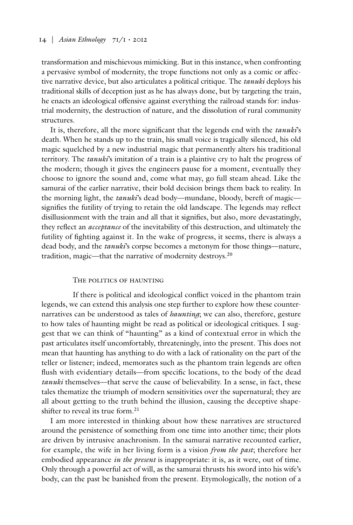transformation and mischievous mimicking. But in this instance, when confronting a pervasive symbol of modernity, the trope functions not only as a comic or affective narrative device, but also articulates a political critique. The *tanuki* deploys his traditional skills of deception just as he has always done, but by targeting the train, he enacts an ideological offensive against everything the railroad stands for: industrial modernity, the destruction of nature, and the dissolution of rural community structures.

It is, therefore, all the more significant that the legends end with the *tanuki*'s death. When he stands up to the train, his small voice is tragically silenced, his old magic squelched by a new industrial magic that permanently alters his traditional territory. The *tanuki*'s imitation of a train is a plaintive cry to halt the progress of the modern; though it gives the engineers pause for a moment, eventually they choose to ignore the sound and, come what may, go full steam ahead. Like the samurai of the earlier narrative, their bold decision brings them back to reality. In the morning light, the *tanuki*'s dead body—mundane, bloody, bereft of magic signifies the futility of trying to retain the old landscape. The legends may reflect disillusionment with the train and all that it signifies, but also, more devastatingly, they reflect an *acceptance* of the inevitability of this destruction, and ultimately the futility of fighting against it. In the wake of progress, it seems, there is always a dead body, and the *tanuki*'s corpse becomes a metonym for those things—nature, tradition, magic—that the narrative of modernity destroys.20

### The politics of haunting

If there is political and ideological conflict voiced in the phantom train legends, we can extend this analysis one step further to explore how these counternarratives can be understood as tales of *haunting*; we can also, therefore, gesture to how tales of haunting might be read as political or ideological critiques. I suggest that we can think of "haunting" as a kind of contextual error in which the past articulates itself uncomfortably, threateningly, into the present. This does not mean that haunting has anything to do with a lack of rationality on the part of the teller or listener; indeed, memorates such as the phantom train legends are often flush with evidentiary details—from specific locations, to the body of the dead *tanuki* themselves—that serve the cause of believability. In a sense, in fact, these tales thematize the triumph of modern sensitivities over the supernatural; they are all about getting to the truth behind the illusion, causing the deceptive shapeshifter to reveal its true form.<sup>21</sup>

I am more interested in thinking about how these narratives are structured around the persistence of something from one time into another time; their plots are driven by intrusive anachronism. In the samurai narrative recounted earlier, for example, the wife in her living form is a vision *from the past*; therefore her embodied appearance *in the present* is inappropriate: it is, as it were, out of time. Only through a powerful act of will, as the samurai thrusts his sword into his wife's body, can the past be banished from the present. Etymologically, the notion of a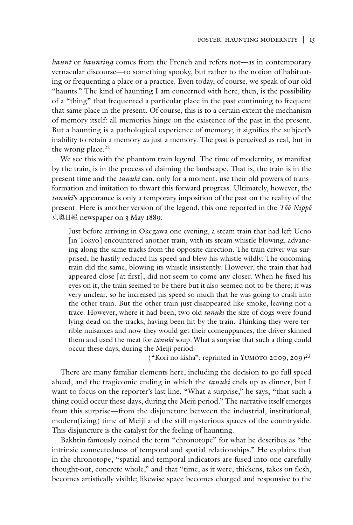*haunt* or *haunting* comes from the French and refers not—as in contemporary vernacular discourse—to something spooky, but rather to the notion of habituating or frequenting a place or a practice. Even today, of course, we speak of our old "haunts." The kind of haunting I am concerned with here, then, is the possibility of a "thing" that frequented a particular place in the past continuing to frequent that same place in the present. Of course, this is to a certain extent the mechanism of memory itself: all memories hinge on the existence of the past in the present. But a haunting is a pathological experience of memory; it signifies the subject's inability to retain a memory *as* just a memory. The past is perceived as real, but in the wrong place.<sup>22</sup>

We see this with the phantom train legend. The time of modernity, as manifest by the train, is in the process of claiming the landscape. That is, the train is in the present time and the *tanuki* can, only for a moment, use their old powers of transformation and imitation to thwart this forward progress. Ultimately, however, the *tanuki*'s appearance is only a temporary imposition of the past on the reality of the present. Here is another version of the legend, this one reported in the *Tōō Nippō* 東奥日報 newspaper on 3 May 1889:

Just before arriving in Okegawa one evening, a steam train that had left Ueno [in Tokyo] encountered another train, with its steam whistle blowing, advancing along the same tracks from the opposite direction. The train driver was surprised; he hastily reduced his speed and blew his whistle wildly. The oncoming train did the same, blowing its whistle insistently. However, the train that had appeared close [at first], did not seem to come any closer. When he fixed his eyes on it, the train seemed to be there but it also seemed not to be there; it was very unclear, so he increased his speed so much that he was going to crash into the other train. But the other train just disappeared like smoke, leaving not a trace. However, where it had been, two old *tanuki* the size of dogs were found lying dead on the tracks, having been hit by the train. Thinking they were terrible nuisances and now they would get their comeuppances, the driver skinned them and used the meat for *tanuki* soup. What a surprise that such a thing could occur these days, during the Meiji period.

("Kori no kisha"; reprinted in YUMOTO 2009, 209)<sup>23</sup>

There are many familiar elements here, including the decision to go full speed ahead, and the tragicomic ending in which the *tanuki* ends up as dinner, but I want to focus on the reporter's last line. "What a surprise," he says, "that such a thing could occur these days, during the Meiji period." The narrative itself emerges from this surprise—from the disjuncture between the industrial, institutional, modern(izing) time of Meiji and the still mysterious spaces of the countryside. This disjuncture is the catalyst for the feeling of haunting.

Bakhtin famously coined the term "chronotope" for what he describes as "the intrinsic connectedness of temporal and spatial relationships." He explains that in the chronotope, "spatial and temporal indicators are fused into one carefully thought-out, concrete whole," and that "time, as it were, thickens, takes on flesh, becomes artistically visible; likewise space becomes charged and responsive to the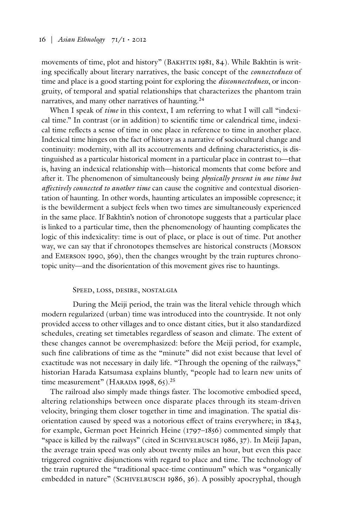movements of time, plot and history" (Bakhtin 1981, 84). While Bakhtin is writing specifically about literary narratives, the basic concept of the *connectedness* of time and place is a good starting point for exploring the *disconnectedness*, or incongruity, of temporal and spatial relationships that characterizes the phantom train narratives, and many other narratives of haunting.<sup>24</sup>

When I speak of *time* in this context, I am referring to what I will call "indexical time." In contrast (or in addition) to scientific time or calendrical time, indexical time reflects a sense of time in one place in reference to time in another place. Indexical time hinges on the fact of history as a narrative of sociocultural change and continuity: modernity, with all its accoutrements and defining characteristics, is distinguished as a particular historical moment in a particular place in contrast to—that is, having an indexical relationship with—historical moments that come before and after it. The phenomenon of simultaneously being *physically present in one time but affectively connected to another time* can cause the cognitive and contextual disorientation of haunting. In other words, haunting articulates an impossible copresence; it is the bewilderment a subject feels when two times are simultaneously experienced in the same place. If Bakhtin's notion of chronotope suggests that a particular place is linked to a particular time, then the phenomenology of haunting complicates the logic of this indexicality: time is out of place, or place is out of time. Put another way, we can say that if chronotopes themselves are historical constructs (Morson and Emerson 1990, 369), then the changes wrought by the train ruptures chronotopic unity—and the disorientation of this movement gives rise to hauntings.

# Speed, loss, desire, nostalgia

During the Meiji period, the train was the literal vehicle through which modern regularized (urban) time was introduced into the countryside. It not only provided access to other villages and to once distant cities, but it also standardized schedules, creating set timetables regardless of season and climate. The extent of these changes cannot be overemphasized: before the Meiji period, for example, such fine calibrations of time as the "minute" did not exist because that level of exactitude was not necessary in daily life. "Through the opening of the railways," historian Harada Katsumasa explains bluntly, "people had to learn new units of time measurement" (HARADA 1998, 65).<sup>25</sup>

The railroad also simply made things faster. The locomotive embodied speed, altering relationships between once disparate places through its steam-driven velocity, bringing them closer together in time and imagination. The spatial disorientation caused by speed was a notorious effect of trains everywhere; in 1843, for example, German poet Heinrich Heine (1797–1856) commented simply that "space is killed by the railways" (cited in SCHIVELBUSCH 1986, 37). In Meiji Japan, the average train speed was only about twenty miles an hour, but even this pace triggered cognitive disjunctions with regard to place and time. The technology of the train ruptured the "traditional space-time continuum" which was "organically embedded in nature" (SCHIVELBUSCH 1986, 36). A possibly apocryphal, though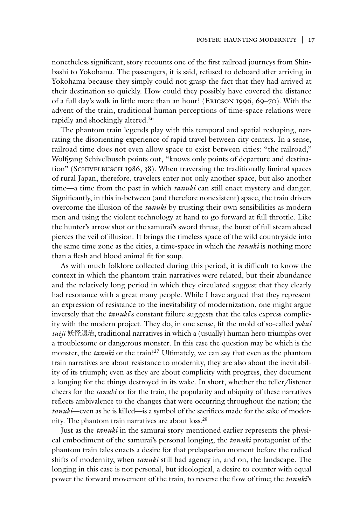nonetheless significant, story recounts one of the first railroad journeys from Shinbashi to Yokohama. The passengers, it is said, refused to deboard after arriving in Yokohama because they simply could not grasp the fact that they had arrived at their destination so quickly. How could they possibly have covered the distance of a full day's walk in little more than an hour? (Ericson 1996, 69–70). With the advent of the train, traditional human perceptions of time-space relations were rapidly and shockingly altered.26

The phantom train legends play with this temporal and spatial reshaping, narrating the disorienting experience of rapid travel between city centers. In a sense, railroad time does not even allow space to exist between cities: "the railroad," Wolfgang Schivelbusch points out, "knows only points of departure and destination" (SCHIVELBUSCH 1986, 38). When traversing the traditionally liminal spaces of rural Japan, therefore, travelers enter not only another space, but also another time—a time from the past in which *tanuki* can still enact mystery and danger. Significantly, in this in-between (and therefore nonexistent) space, the train drivers overcome the illusion of the *tanuki* by trusting their own sensibilities as modern men and using the violent technology at hand to go forward at full throttle. Like the hunter's arrow shot or the samurai's sword thrust, the burst of full steam ahead pierces the veil of illusion. It brings the timeless space of the wild countryside into the same time zone as the cities, a time-space in which the *tanuki* is nothing more than a flesh and blood animal fit for soup.

As with much folklore collected during this period, it is difficult to know the context in which the phantom train narratives were related, but their abundance and the relatively long period in which they circulated suggest that they clearly had resonance with a great many people. While I have argued that they represent an expression of resistance to the inevitability of modernization, one might argue inversely that the *tanuki*'s constant failure suggests that the tales express complicity with the modern project. They do, in one sense, fit the mold of so-called *yōkai taiji* 妖怪退治, traditional narratives in which a (usually) human hero triumphs over a troublesome or dangerous monster. In this case the question may be which is the monster, the *tanuki* or the train?<sup>27</sup> Ultimately, we can say that even as the phantom train narratives are about resistance to modernity, they are also about the inevitability of its triumph; even as they are about complicity with progress, they document a longing for the things destroyed in its wake. In short, whether the teller/listener cheers for the *tanuki* or for the train, the popularity and ubiquity of these narratives reflects ambivalence to the changes that were occurring throughout the nation; the *tanuki*—even as he is killed—is a symbol of the sacrifices made for the sake of modernity. The phantom train narratives are about loss.28

Just as the *tanuki* in the samurai story mentioned earlier represents the physical embodiment of the samurai's personal longing, the *tanuki* protagonist of the phantom train tales enacts a desire for that prelapsarian moment before the radical shifts of modernity, when *tanuki* still had agency in, and on, the landscape. The longing in this case is not personal, but ideological, a desire to counter with equal power the forward movement of the train, to reverse the flow of time; the *tanuki*'s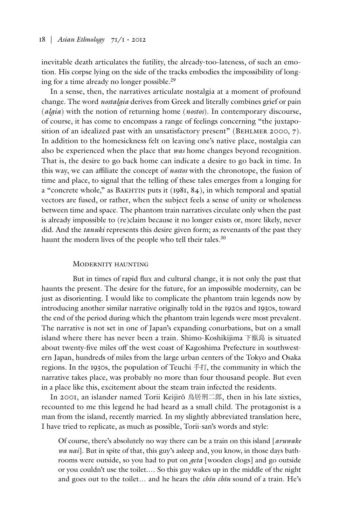inevitable death articulates the futility, the already-too-lateness, of such an emotion. His corpse lying on the side of the tracks embodies the impossibility of longing for a time already no longer possible.29

In a sense, then, the narratives articulate nostalgia at a moment of profound change. The word *nostalgia* derives from Greek and literally combines grief or pain (*algia*) with the notion of returning home (*nostos*). In contemporary discourse, of course, it has come to encompass a range of feelings concerning "the juxtaposition of an idealized past with an unsatisfactory present" (BEHLMER 2000, 7). In addition to the homesickness felt on leaving one's native place, nostalgia can also be experienced when the place that *was* home changes beyond recognition. That is, the desire to go back home can indicate a desire to go back in time. In this way, we can affiliate the concept of *nostos* with the chronotope, the fusion of time and place, to signal that the telling of these tales emerges from a longing for a "concrete whole," as BAKHTIN puts it  $(1981, 84)$ , in which temporal and spatial vectors are fused, or rather, when the subject feels a sense of unity or wholeness between time and space. The phantom train narratives circulate only when the past is already impossible to (re)claim because it no longer exists or, more likely, never did. And the *tanuki* represents this desire given form; as revenants of the past they haunt the modern lives of the people who tell their tales.<sup>30</sup>

### Modernity haunting

But in times of rapid flux and cultural change, it is not only the past that haunts the present. The desire for the future, for an impossible modernity, can be just as disorienting. I would like to complicate the phantom train legends now by introducing another similar narrative originally told in the 1920s and 1930s, toward the end of the period during which the phantom train legends were most prevalent. The narrative is not set in one of Japan's expanding conurbations, but on a small island where there has never been a train. Shimo-Koshikijima 下甑島 is situated about twenty-five miles off the west coast of Kagoshima Prefecture in southwestern Japan, hundreds of miles from the large urban centers of the Tokyo and Osaka regions. In the 1930s, the population of Teuchi 手打, the community in which the narrative takes place, was probably no more than four thousand people. But even in a place like this, excitement about the steam train infected the residents.

In 2001, an islander named Torii Keijirō 鳥居刑二郎, then in his late sixties, recounted to me this legend he had heard as a small child. The protagonist is a man from the island, recently married. In my slightly abbreviated translation here, I have tried to replicate, as much as possible, Torii-san's words and style:

Of course, there's absolutely no way there can be a train on this island [*aruwake wa nai*]. But in spite of that, this guy's asleep and, you know, in those days bathrooms were outside, so you had to put on *geta* [wooden clogs] and go outside or you couldn't use the toilet.… So this guy wakes up in the middle of the night and goes out to the toilet… and he hears the *chīn chīn* sound of a train. He's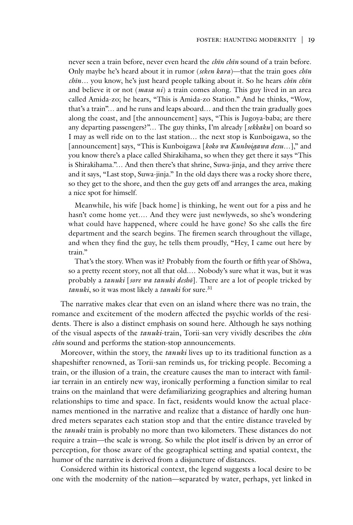never seen a train before, never even heard the *chīn chīn* sound of a train before. Only maybe he's heard about it in rumor (*seken kara*)—that the train goes *chīn chīn*… you know, he's just heard people talking about it. So he hears *chīn chīn*  and believe it or not (*masa ni*) a train comes along. This guy lived in an area called Amida-zo; he hears, "This is Amida-zo Station." And he thinks, "Wow, that's a train"… and he runs and leaps aboard… and then the train gradually goes along the coast, and [the announcement] says, "This is Jugoya-baba; are there any departing passengers?"… The guy thinks, I'm already [*sekkaku*] on board so I may as well ride on to the last station… the next stop is Kunboigawa, so the [announcement] says, "This is Kunboigawa [*koko wa Kunboigawa desu…*]," and you know there's a place called Shirakihama, so when they get there it says "This is Shirakihama."… And then there's that shrine, Suwa-jinja, and they arrive there and it says, "Last stop, Suwa-jinja." In the old days there was a rocky shore there, so they get to the shore, and then the guy gets off and arranges the area, making a nice spot for himself.

Meanwhile, his wife [back home] is thinking, he went out for a piss and he hasn't come home yet.… And they were just newlyweds, so she's wondering what could have happened, where could he have gone? So she calls the fire department and the search begins. The firemen search throughout the village, and when they find the guy, he tells them proudly, "Hey, I came out here by train."

That's the story. When was it? Probably from the fourth or fifth year of Shōwa, so a pretty recent story, not all that old.… Nobody's sure what it was, but it was probably a *tanuki* [*sore wa tanuki deshō*]. There are a lot of people tricked by *tanuki*, so it was most likely a *tanuki* for sure.<sup>31</sup>

The narrative makes clear that even on an island where there was no train, the romance and excitement of the modern affected the psychic worlds of the residents. There is also a distinct emphasis on sound here. Although he says nothing of the visual aspects of the *tanuki*-train, Torii-san very vividly describes the *chīn chīn* sound and performs the station-stop announcements.

Moreover, within the story, the *tanuki* lives up to its traditional function as a shapeshifter renowned, as Torii-san reminds us, for tricking people. Becoming a train, or the illusion of a train, the creature causes the man to interact with familiar terrain in an entirely new way, ironically performing a function similar to real trains on the mainland that were defamiliarizing geographies and altering human relationships to time and space. In fact, residents would know the actual placenames mentioned in the narrative and realize that a distance of hardly one hundred meters separates each station stop and that the entire distance traveled by the *tanuki* train is probably no more than two kilometers. These distances do not require a train—the scale is wrong. So while the plot itself is driven by an error of perception, for those aware of the geographical setting and spatial context, the humor of the narrative is derived from a disjuncture of distances.

Considered within its historical context, the legend suggests a local desire to be one with the modernity of the nation—separated by water, perhaps, yet linked in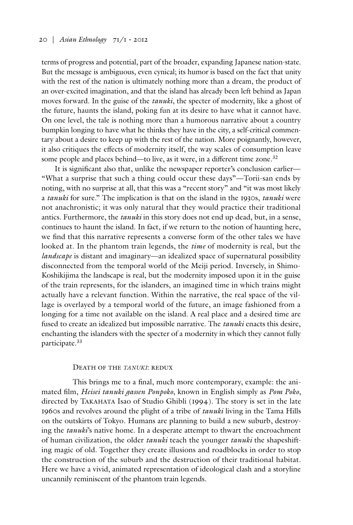terms of progress and potential, part of the broader, expanding Japanese nation-state. But the message is ambiguous, even cynical; its humor is based on the fact that unity with the rest of the nation is ultimately nothing more than a dream, the product of an over-excited imagination, and that the island has already been left behind as Japan moves forward. In the guise of the *tanuki*, the specter of modernity, like a ghost of the future, haunts the island, poking fun at its desire to have what it cannot have. On one level, the tale is nothing more than a humorous narrative about a country bumpkin longing to have what he thinks they have in the city, a self-critical commentary about a desire to keep up with the rest of the nation. More poignantly, however, it also critiques the effects of modernity itself, the way scales of consumption leave some people and places behind—to live, as it were, in a different time zone. 32

It is significant also that, unlike the newspaper reporter's conclusion earlier— "What a surprise that such a thing could occur these days"—Torii-san ends by noting, with no surprise at all, that this was a "recent story" and "it was most likely a *tanuki* for sure." The implication is that on the island in the 1930s, *tanuki* were not anachronistic; it was only natural that they would practice their traditional antics. Furthermore, the *tanuki* in this story does not end up dead, but, in a sense, continues to haunt the island. In fact, if we return to the notion of haunting here, we find that this narrative represents a converse form of the other tales we have looked at. In the phantom train legends, the *time* of modernity is real, but the *landscape* is distant and imaginary—an idealized space of supernatural possibility disconnected from the temporal world of the Meiji period. Inversely, in Shimo-Koshikijima the landscape is real, but the modernity imposed upon it in the guise of the train represents, for the islanders, an imagined time in which trains might actually have a relevant function. Within the narrative, the real space of the village is overlayed by a temporal world of the future, an image fashioned from a longing for a time not available on the island. A real place and a desired time are fused to create an idealized but impossible narrative. The *tanuki* enacts this desire, enchanting the islanders with the specter of a modernity in which they cannot fully participate.33

#### Death of the *tanuki*: redux

This brings me to a final, much more contemporary, example: the animated film, *Heisei tanuki gassen Ponpoko*, known in English simply as *Pom Poko*, directed by Takahata Isao of Studio Ghibli (1994). The story is set in the late 1960s and revolves around the plight of a tribe of *tanuki* living in the Tama Hills on the outskirts of Tokyo. Humans are planning to build a new suburb, destroying the *tanuki*'s native home. In a desperate attempt to thwart the encroachment of human civilization, the older *tanuki* teach the younger *tanuki* the shapeshifting magic of old. Together they create illusions and roadblocks in order to stop the construction of the suburb and the destruction of their traditional habitat. Here we have a vivid, animated representation of ideological clash and a storyline uncannily reminiscent of the phantom train legends.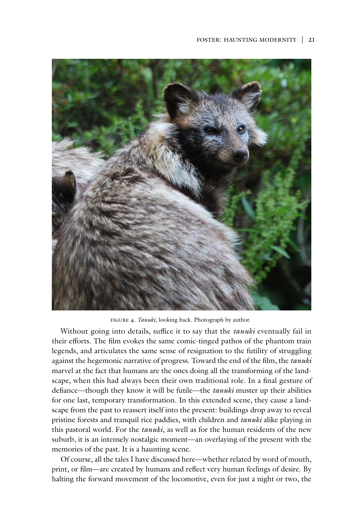

figure 4. *Tanuki*, looking back. Photograph by author.

Without going into details, suffice it to say that the *tanuki* eventually fail in their efforts. The film evokes the same comic-tinged pathos of the phantom train legends, and articulates the same sense of resignation to the futility of struggling against the hegemonic narrative of progress. Toward the end of the film, the *tanuki* marvel at the fact that humans are the ones doing all the transforming of the landscape, when this had always been their own traditional role. In a final gesture of defiance—though they know it will be futile—the *tanuki* muster up their abilities for one last, temporary transformation. In this extended scene, they cause a landscape from the past to reassert itself into the present: buildings drop away to reveal pristine forests and tranquil rice paddies, with children and *tanuki* alike playing in this pastoral world. For the *tanuki*, as well as for the human residents of the new suburb, it is an intensely nostalgic moment—an overlaying of the present with the memories of the past. It is a haunting scene.

Of course, all the tales I have discussed here—whether related by word of mouth, print, or film—are created by humans and reflect very human feelings of desire. By halting the forward movement of the locomotive, even for just a night or two, the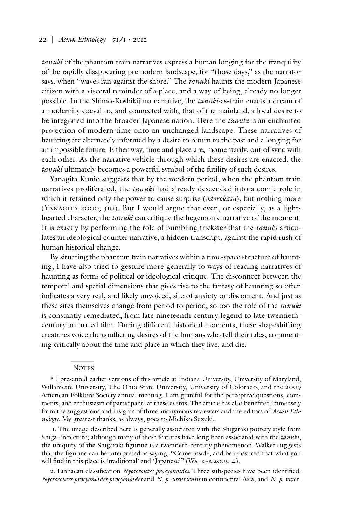*tanuki* of the phantom train narratives express a human longing for the tranquility of the rapidly disappearing premodern landscape, for "those days," as the narrator says, when "waves ran against the shore." The *tanuki* haunts the modern Japanese citizen with a visceral reminder of a place, and a way of being, already no longer possible. In the Shimo-Koshikijima narrative, the *tanuki*-as-train enacts a dream of a modernity coeval to, and connected with, that of the mainland, a local desire to be integrated into the broader Japanese nation. Here the *tanuki* is an enchanted projection of modern time onto an unchanged landscape. These narratives of haunting are alternately informed by a desire to return to the past and a longing for an impossible future. Either way, time and place are, momentarily, out of sync with each other. As the narrative vehicle through which these desires are enacted, the *tanuki* ultimately becomes a powerful symbol of the futility of such desires.

Yanagita Kunio suggests that by the modern period, when the phantom train narratives proliferated, the *tanuki* had already descended into a comic role in which it retained only the power to cause surprise (*odorokasu*), but nothing more (YANAGITA 2000,  $310$ ). But I would argue that even, or especially, as a lighthearted character, the *tanuki* can critique the hegemonic narrative of the moment. It is exactly by performing the role of bumbling trickster that the *tanuki* articulates an ideological counter narrative, a hidden transcript, against the rapid rush of human historical change.

By situating the phantom train narratives within a time-space structure of haunting, I have also tried to gesture more generally to ways of reading narratives of haunting as forms of political or ideological critique. The disconnect between the temporal and spatial dimensions that gives rise to the fantasy of haunting so often indicates a very real, and likely unvoiced, site of anxiety or discontent. And just as these sites themselves change from period to period, so too the role of the *tanuki* is constantly remediated, from late nineteenth-century legend to late twentiethcentury animated film. During different historical moments, these shapeshifting creatures voice the conflicting desires of the humans who tell their tales, commenting critically about the time and place in which they live, and die.

#### **NOTES**

\* I presented earlier versions of this article at Indiana University, University of Maryland, Willamette University, The Ohio State University, University of Colorado, and the 2009 American Folklore Society annual meeting. I am grateful for the perceptive questions, comments, and enthusiasm of participants at these events. The article has also benefited immensely from the suggestions and insights of three anonymous reviewers and the editors of *Asian Ethnology*. My greatest thanks, as always, goes to Michiko Suzuki.

1. The image described here is generally associated with the Shigaraki pottery style from Shiga Prefecture; although many of these features have long been associated with the *tanuki*, the ubiquity of the Shigaraki figurine is a twentieth-century phenomenon. Walker suggests that the figurine can be interpreted as saying, "Come inside, and be reassured that what you will find in this place is 'traditional' and 'Japanese'" (WALKER 2005, 4).

2. Linnaean classification *Nyctereutes procyonoides*. Three subspecies have been identified: *Nyctereutes procyonoides procyonoides* and *N. p. ussuriensis* in continental Asia, and *N. p. viver-*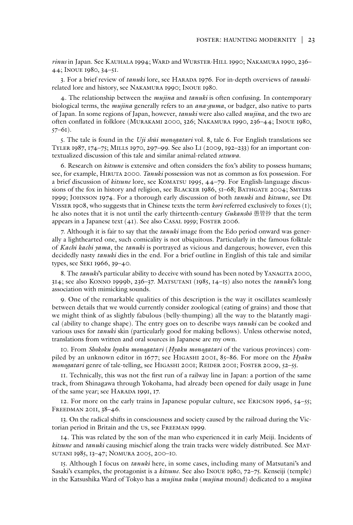*rinus* in Japan. See Kauhala 1994; Ward and Wurster-Hill 1990; Nakamura 1990, 236– 44; Inoue 1980, 34–51.

3. For a brief review of *tanuki* lore, see Harada 1976. For in-depth overviews of *tanuki*related lore and history, see Nakamura 1990; Inoue 1980.

4. The relationship between the *mujina* and *tanuki* is often confusing. In contemporary biological terms, the *mujina* generally refers to an *ana-guma*, or badger, also native to parts of Japan. In some regions of Japan, however, *tanuki* were also called *mujina*, and the two are often conflated in folklore (Murakami 2000, 326; Nakamura 1990, 236–44; Inoue 1980,  $57-61$ ).

5. The tale is found in the *Uji shūi monogatari* vol. 8, tale 6. For English translations see Tyler 1987, 174–75; Mills 1970, 297–99. See also Li (2009, 192–233) for an important contextualized discussion of this tale and similar animal-related *setsuwa*.

6. Research on *kitsune* is extensive and often considers the fox's ability to possess humans; see, for example, Hiruta 2000. *Tanuki* possession was not as common as fox possession. For a brief discussion of *kitsune* lore, see Komatsu 1995, 44–79. For English-language discussions of the fox in history and religion, see BLACKER 1986, 51–68; BATHGATE 2004; SMYERS 1999; Johnson 1974. For a thorough early discussion of both *tanuki* and *kitsune*, see De Visser 1908, who suggests that in Chinese texts the term *kori* referred exclusively to foxes (1); he also notes that it is not until the early thirteenth-century *Gukanshō* 愚管抄 that the term appears in a Japanese text (41). See also Casal 1959; Foster 2006.

7. Although it is fair to say that the *tanuki* image from the Edo period onward was generally a lighthearted one, such comicality is not ubiquitous. Particularly in the famous folktale of *Kachi kachi yama*, the *tanuki* is portrayed as vicious and dangerous; however, even this decidedly nasty *tanuki* dies in the end. For a brief outline in English of this tale and similar types, see Seki 1966, 39–40.

8. The *tanuki*'s particular ability to deceive with sound has been noted by YANAGITA 2000, 314; see also Konno 1999b, 236–37. Matsutani (1985, 14–15) also notes the *tanuki*'s long association with mimicking sounds.

9. One of the remarkable qualities of this description is the way it oscillates seamlessly between details that we would currently consider zoological (eating of grains) and those that we might think of as slightly fabulous (belly-thumping) all the way to the blatantly magical (ability to change shape). The entry goes on to describe ways *tanuki* can be cooked and various uses for *tanuki* skin (particularly good for making bellows). Unless otherwise noted, translations from written and oral sources in Japanese are my own.

10. From *Shokoku hyaku monogatari* (*Hyaku monogatari* of the various provinces) compiled by an unknown editor in 1677; see Higashi 2001, 85–86. For more on the *Hyaku monogatari* genre of tale-telling, see HIGASHI 2001; REIDER 2001; FOSTER 2009, 52-55.

11. Technically, this was not the first run of a railway line in Japan: a portion of the same track, from Shinagawa through Yokohama, had already been opened for daily usage in June of the same year; see Harada 1991, 17.

12. For more on the early trains in Japanese popular culture, see Ericson 1996, 54–55; Freedman 2011, 38–46.

13. On the radical shifts in consciousness and society caused by the railroad during the Victorian period in Britain and the us, see Freeman 1999.

14. This was related by the son of the man who experienced it in early Meiji. Incidents of *kitsune* and *tanuki* causing mischief along the train tracks were widely distributed. See Matsutani 1985, 13–47; Nomura 2005, 200–10.

15. Although I focus on *tanuki* here, in some cases, including many of Matsutani's and Sasaki's examples, the protagonist is a *kitsune*. See also Inoue 1980, 72–75. Kenseiji (temple) in the Katsushika Ward of Tokyo has a *mujina tsuka* (*mujina* mound) dedicated to a *mujina*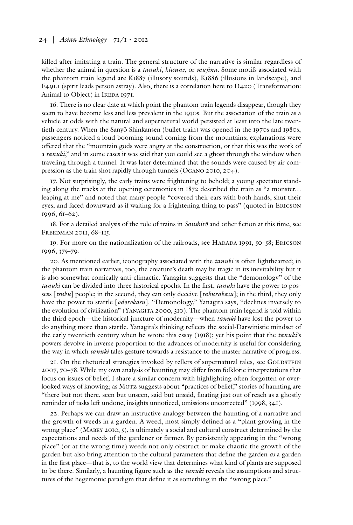killed after imitating a train. The general structure of the narrative is similar regardless of whether the animal in question is a *tanuki*, *kitsune*, or *mujina*. Some motifs associated with the phantom train legend are K1887 (illusory sounds), K1886 (illusions in landscape), and F491.1 (spirit leads person astray). Also, there is a correlation here to D420 (Transformation: Animal to Object) in IKEDA 1971.

16. There is no clear date at which point the phantom train legends disappear, though they seem to have become less and less prevalent in the 1930s. But the association of the train as a vehicle at odds with the natural and supernatural world persisted at least into the late twentieth century. When the Sanyō Shinkansen (bullet train) was opened in the 1970s and 1980s, passengers noticed a loud booming sound coming from the mountains; explanations were offered that the "mountain gods were angry at the construction, or that this was the work of a *tanuki*," and in some cases it was said that you could see a ghost through the window when traveling through a tunnel. It was later determined that the sounds were caused by air compression as the train shot rapidly through tunnels (Ogano 2010, 204).

17. Not surprisingly, the early trains were frightening to behold; a young spectator standing along the tracks at the opening ceremonies in 1872 described the train as "a monster… leaping at me" and noted that many people "covered their ears with both hands, shut their eyes, and faced downward as if waiting for a frightening thing to pass" (quoted in Ericson 1996, 61–62).

18. For a detailed analysis of the role of trains in *Sanshirō* and other fiction at this time, see Freedman 2011, 68–115.

19. For more on the nationalization of the railroads, see HARADA 1991,  $50 - 58$ ; ERICSON 1996, 375–79.

20. As mentioned earlier, iconography associated with the *tanuki* is often lighthearted; in the phantom train narratives, too, the creature's death may be tragic in its inevitability but it is also somewhat comically anti-climactic. Yanagita suggests that the "demonology" of the *tanuki* can be divided into three historical epochs. In the first, *tanuki* have the power to possess [*tsuku*] people; in the second, they can only deceive [*taburakasu*]; in the third, they only have the power to startle [*odorokasu*]. "Demonology," Yanagita says, "declines inversely to the evolution of civilization" (YANAGITA 2000, 310). The phantom train legend is told within the third epoch—the historical juncture of modernity—when *tanuki* have lost the power to do anything more than startle. Yanagita's thinking reflects the social-Darwinistic mindset of the early twentieth century when he wrote this essay (1918); yet his point that the *tanuki*'s powers devolve in inverse proportion to the advances of modernity is useful for considering the way in which *tanuki* tales gesture towards a resistance to the master narrative of progress.

21. On the rhetorical strategies invoked by tellers of supernatural tales, see GOLDSTEIN 2007, 70–78. While my own analysis of haunting may differ from folkloric interpretations that focus on issues of belief, I share a similar concern with highlighting often forgotten or overlooked ways of knowing; as MOTZ suggests about "practices of belief," stories of haunting are "there but not there, seen but unseen, said but unsaid, floating just out of reach as a ghostly reminder of tasks left undone, insights unnoticed, omissions uncorrected" (1998, 341).

22. Perhaps we can draw an instructive analogy between the haunting of a narrative and the growth of weeds in a garden. A weed, most simply defined as a "plant growing in the wrong place" (MABEY 2010, 5), is ultimately a social and cultural construct determined by the expectations and needs of the gardener or farmer. By persistently appearing in the "wrong place" (or at the wrong time) weeds not only obstruct or make chaotic the growth of the garden but also bring attention to the cultural parameters that define the garden *as* a garden in the first place—that is, to the world view that determines what kind of plants are supposed to be there. Similarly, a haunting figure such as the *tanuki* reveals the assumptions and structures of the hegemonic paradigm that define it as something in the "wrong place."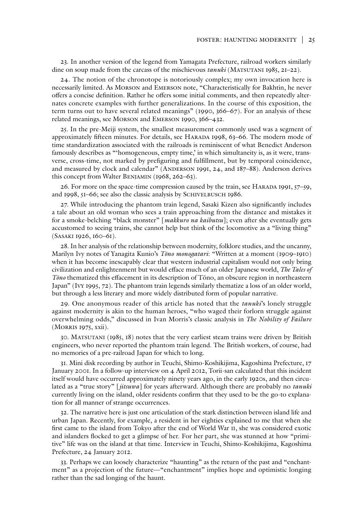23. In another version of the legend from Yamagata Prefecture, railroad workers similarly dine on soup made from the carcass of the mischievous *tanuki* (MATSUTANI 1985, 21–22).

24. The notion of the chronotope is notoriously complex; my own invocation here is necessarily limited. As Morson and Emerson note, "Characteristically for Bakhtin, he never offers a concise definition. Rather he offers some initial comments, and then repeatedly alternates concrete examples with further generalizations. In the course of this exposition, the term turns out to have several related meanings" (1990, 366–67). For an analysis of these related meanings, see Morson and Emerson 1990, 366–432.

25. In the pre-Meiji system, the smallest measurement commonly used was a segment of approximately fifteen minutes. For details, see Harada 1998, 63–66. The modern mode of time standardization associated with the railroads is reminiscent of what Benedict Anderson famously describes as "'homogeneous, empty time,' in which simultaneity is, as it were, transverse, cross-time, not marked by prefiguring and fulfillment, but by temporal coincidence, and measured by clock and calendar" (ANDERSON 1991, 24, and 187–88). Anderson derives this concept from Walter Benjamin (1968, 262–63).

26. For more on the space-time compression caused by the train, see HARADA 1991, 57–59, and 1998, 51–66; see also the classic analysis by SCHIVELBUSCH 1986.

27. While introducing the phantom train legend, Sasaki Kizen also significantly includes a tale about an old woman who sees a train approaching from the distance and mistakes it for a smoke-belching "black monster" [*makkuro na kaibutsu*]; even after she eventually gets accustomed to seeing trains, she cannot help but think of the locomotive as a "living thing" (Sasaki 1926, 160–61).

28. In her analysis of the relationship between modernity, folklore studies, and the uncanny, Marilyn Ivy notes of Yanagita Kunio's *Tōno monogatari*: "Written at a moment (1909–1910) when it has become inescapably clear that western industrial capitalism would not only bring civilization and enlightenment but would efface much of an older Japanese world, *The Tales of Tōno* thematized this effacement in its description of Tōno, an obscure region in northeastern Japan" (Ivy 1995, 72). The phantom train legends similarly thematize a loss of an older world, but through a less literary and more widely distributed form of popular narrative.

29. One anonymous reader of this article has noted that the *tanuki*'s lonely struggle against modernity is akin to the human heroes, "who waged their forlorn struggle against overwhelming odds," discussed in Ivan Morris's classic analysis in *The Nobility of Failure* (Morris 1975, xxii).

30. Matsutani (1985, 18) notes that the very earliest steam trains were driven by British engineers, who never reported the phantom train legend. The British workers, of course, had no memories of a pre-railroad Japan for which to long.

31. Mini disk recording by author in Teuchi, Shimo-Koshikijima, Kagoshima Prefecture, 17 January 2001. In a follow-up interview on 4 April 2012, Torii-san calculated that this incident itself would have occurred approximately ninety years ago, in the early 1920s, and then circulated as a "true story" [*jitsuwa*] for years afterward. Although there are probably no *tanuki* currently living on the island, older residents confirm that they used to be the go-to explanation for all manner of strange occurrences.

32. The narrative here is just one articulation of the stark distinction between island life and urban Japan. Recently, for example, a resident in her eighties explained to me that when she first came to the island from Tokyo after the end of World War ii, she was considered exotic and islanders flocked to get a glimpse of her. For her part, she was stunned at how "primitive" life was on the island at that time. Interview in Teuchi, Shimo-Koshikijima, Kagoshima Prefecture, 24 January 2012.

33. Perhaps we can loosely characterize "haunting" as the return of the past and "enchantment" as a projection of the future—"enchantment" implies hope and optimistic longing rather than the sad longing of the haunt.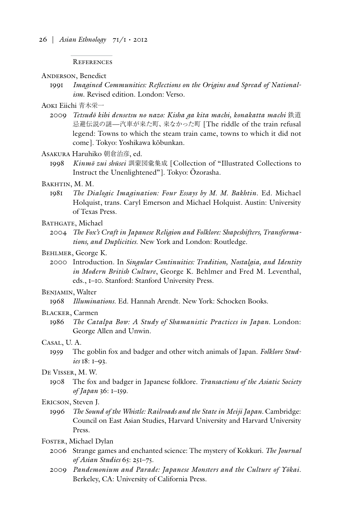#### References

#### ANDERSON, Benedict

1991 *Imagined Communities: Reflections on the Origins and Spread of Nationalism*. Revised edition. London: Verso.

# Aoki Eiichi 青木栄一

- 2009 *Tetsudō kihi densetsu no nazo: Kisha ga kita machi, konakatta machi* 鉄道 忌避伝説の謎—汽車が来た町、来なかった町 [The riddle of the train refusal legend: Towns to which the steam train came, towns to which it did not come]. Tokyo: Yoshikawa kōbunkan.
- Asakura Haruhiko 朝倉治彦, ed.
	- 1998 *Kinmō zui shūsei* 訓蒙図彙集成 [Collection of "Illustrated Collections to Instruct the Unenlightened"]. Tokyo: Ōzorasha.
- Bakhtin, M. M.
	- 1981 *The Dialogic Imagination: Four Essays by M. M. Bakhtin*. Ed. Michael Holquist, trans. Caryl Emerson and Michael Holquist. Austin: University of Texas Press.
- BATHGATE, Michael
	- 2004 *The Fox's Craft in Japanese Religion and Folklore: Shapeshifters, Transformations, and Duplicities*. New York and London: Routledge.

## Behlmer, George K.

2000 Introduction. In *Singular Continuities: Tradition, Nostalgia, and Identity in Modern British Culture*, George K. Behlmer and Fred M. Leventhal, eds., 1–10. Stanford: Stanford University Press.

## Benjamin, Walter

1968 *Illuminations*. Ed. Hannah Arendt. New York: Schocken Books.

## Blacker, Carmen

1986 *The Catalpa Bow: A Study of Shamanistic Practices in Japan.* London: George Allen and Unwin.

### Casal, U. A.

1959 The goblin fox and badger and other witch animals of Japan. *Folklore Studies* 18: 1–93.

# De Visser, M. W.

1908 The fox and badger in Japanese folklore. *Transactions of the Asiatic Society of Japan* 36: 1–159.

#### Ericson, Steven J.

1996 *The Sound of the Whistle: Railroads and the State in Meiji Japan.* Cambridge: Council on East Asian Studies, Harvard University and Harvard University Press.

# FOSTER, Michael Dylan

- 2006 Strange games and enchanted science: The mystery of Kokkuri. *The Journal of Asian Studies* 65: 251–75.
- 2009 *Pandemonium and Parade: Japanese Monsters and the Culture of Yōkai*. Berkeley, CA: University of California Press.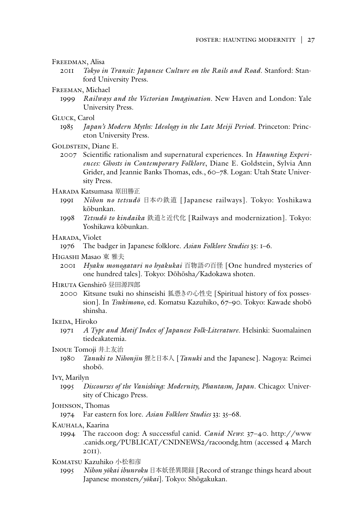## Freedman, Alisa

- 2011 *Tokyo in Transit: Japanese Culture on the Rails and Road*. Stanford: Stanford University Press.
- Freeman, Michael
	- 1999 *Railways and the Victorian Imagination*. New Haven and London: Yale University Press.

## GLUCK, Carol

- 1985 *Japan's Modern Myths: Ideology in the Late Meiji Period*. Princeton: Princeton University Press.
- GOLDSTEIN, Diane E.
	- 2007 Scientific rationalism and supernatural experiences. In *Haunting Experiences: Ghosts in Contemporary Folklore*, Diane E. Goldstein, Sylvia Ann Grider, and Jeannie Banks Thomas, eds., 60–78. Logan: Utah State University Press.

# Harada Katsumasa 原田勝正

- 1991 *Nihon no tetsudō* 日本の鉄道 [Japanese railways]. Tokyo: Yoshikawa kōbunkan.
- 1998 *Tetsudō to kindaika* 鉄道と近代化 [Railways and modernization]. Tokyo: Yoshikawa kōbunkan.

# HARADA, Violet

1976 The badger in Japanese folklore. *Asian Folklore Studies* 35: 1–6.

# Higashi Masao 東 雅夫

2001 *Hyaku monogatari no hyakukai* 百物語の百怪 [One hundred mysteries of one hundred tales]. Tokyo: Dōhōsha/Kadokawa shoten.

## Hiruta Genshirō 昼田源四郎

2000 Kitsune tsuki no shinseishi 狐憑きの心性史 [Spiritual history of fox possession]. In *Tsukimono*, ed. Komatsu Kazuhiko, 67–90. Tokyo: Kawade shobō shinsha.

# Ikeda, Hiroko

1971 *A Type and Motif Index of Japanese Folk-Literature*. Helsinki: Suomalainen tiedeakatemia.

#### Inoue Tomoji 井上友治

1980 *Tanuki to Nihonjin* 狸と日本人 [*Tanuki* and the Japanese]. Nagoya: Reimei shobō.

#### Ivy, Marilyn

1995 *Discourses of the Vanishing: Modernity, Phantasm, Japan*. Chicago: University of Chicago Press.

## JOHNSON, Thomas

1974 Far eastern fox lore. *Asian Folklore Studies* 33: 35–68.

# KAUHALA, Kaarina

1994 The raccoon dog: A successful canid. *Canid News*: 37–40. http://www .canids.org/PUBLICAT/CNDNEWS2/racoondg.htm (accessed 4 March 2011).

# KOMATSU Kazuhiko 小松和彦

1995 *Nihon yōkai ibunroku* 日本妖怪異聞録 [Record of strange things heard about Japanese monsters/*yōkai*]. Tokyo: Shōgakukan.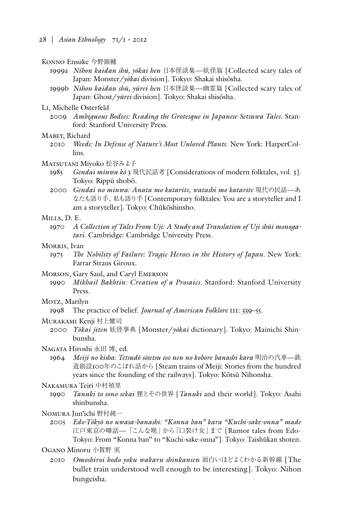### Konno Ensuke 今野圓輔

- 1999a *Nihon kaidan shū, yōkai hen* 日本怪談集—妖怪篇 [Collected scary tales of Japan: Monster/*yōkai* division]. Tokyo: Shakai shisōsha.
- 1999b *Nihon kaidan shū, yūrei hen* 日本怪談集—幽霊篇 [Collected scary tales of Japan: Ghost/*yūrei* division]. Tokyo: Shakai shisōsha.

## Li, Michelle Osterfeld

2009 *Ambiguous Bodies: Reading the Grotesque in Japanese Setsuwa Tales*. Stanford: Stanford University Press.

#### Mabey, Richard

2010 *Weeds: In Defense of Nature's Most Unloved Plants*. New York: HarperCollins.

#### MATSUTANI Mivoko 松谷みよ子

- 1985 *Gendai minwa kō* 3 現代民話考 [Considerations of modern folktales, vol. 3]. Tokyo: Rippū shobō.
- 2000 *Gendai no minwa: Anata mo katarite, watashi mo katarite* 現代の民話—あ なたも語り手、私も語り手 [Contemporary folktales: You are a storyteller and I am a storyteller]. Tokyo: Chūkōshinsho.

#### Mills, D. E.

1970 *A Collection of Tales From Uji: A Study and Translation of Uji shūi monogatari*. Cambridge: Cambridge University Press.

#### MORRIS, Ivan

- 1975 *The Nobility of Failure: Tragic Heroes in the History of Japan*. New York: Farrar Straus Giroux.
- Morson, Gary Saul, and Caryl Emerson
	- 1990 *Mikhail Bakhtin: Creation of a Prosaics*. Stanford: Stanford University Press.

# Morz, Marilyn

1998 The practice of belief. *Journal of American Folklore* 111: 339–55.

#### Murakami Kenji 村上健司

2000 *Yōkai jiten* 妖怪事典 [Monster/*yōkai* dictionary]. Tokyo: Mainichi Shinbunsha.

#### Nagata Hiroshi 永田 博, ed.

1964 *Meiji no kisha: Tetsudō sōsetsu 100 nen no kobore banashi kara* 明治の汽車—鉄 道創設100年のこぼれ話から [Steam trains of Meiji: Stories from the hundred years since the founding of the railways]. Tokyo: Kōtsū Nihonsha.

#### Nakamura Teiri 中村禎里

1990 *Tanuki to sono sekai* 狸とその世界 [*Tanuki* and their world]. Tokyo: Asahi shinbunsha.

#### Nomura Jun'ichi 野村純一

2005 *Edo-Tōkyō no uwasa-banashi: "Konna ban" kara "Kuchi-sake-onna" made* 江戸東京の噂話—「こんな晩」から「口裂け女」まで [Rumor tales from Edo-Tokyo: From "Konna ban" to "Kuchi-sake-onna"]. Tokyo: Taishūkan shoten.

Ogano Minoru 小賀野 実

2010 *Omoshiroi hodo yoku wakaru shinkansen* 面白いほどよくわかる新幹線 [The bullet train understood well enough to be interesting]. Tokyo: Nihon bungeisha.